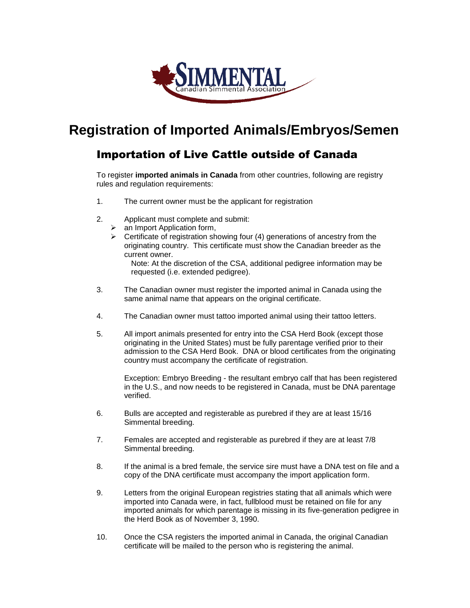

## **Registration of Imported Animals/Embryos/Semen**

## Importation of Live Cattle outside of Canada

To register **imported animals in Canada** from other countries, following are registry rules and regulation requirements:

- 1. The current owner must be the applicant for registration
- 2. Applicant must complete and submit:
	- $\triangleright$  an Import Application form,
	- $\triangleright$  Certificate of registration showing four (4) generations of ancestry from the originating country. This certificate must show the Canadian breeder as the current owner.

Note: At the discretion of the CSA, additional pedigree information may be requested (i.e. extended pedigree).

- 3. The Canadian owner must register the imported animal in Canada using the same animal name that appears on the original certificate.
- 4. The Canadian owner must tattoo imported animal using their tattoo letters.
- 5. All import animals presented for entry into the CSA Herd Book (except those originating in the United States) must be fully parentage verified prior to their admission to the CSA Herd Book. DNA or blood certificates from the originating country must accompany the certificate of registration.

Exception: Embryo Breeding - the resultant embryo calf that has been registered in the U.S., and now needs to be registered in Canada, must be DNA parentage verified.

- 6. Bulls are accepted and registerable as purebred if they are at least 15/16 Simmental breeding.
- 7. Females are accepted and registerable as purebred if they are at least 7/8 Simmental breeding.
- 8. If the animal is a bred female, the service sire must have a DNA test on file and a copy of the DNA certificate must accompany the import application form.
- 9. Letters from the original European registries stating that all animals which were imported into Canada were, in fact, fullblood must be retained on file for any imported animals for which parentage is missing in its five-generation pedigree in the Herd Book as of November 3, 1990.
- 10. Once the CSA registers the imported animal in Canada, the original Canadian certificate will be mailed to the person who is registering the animal.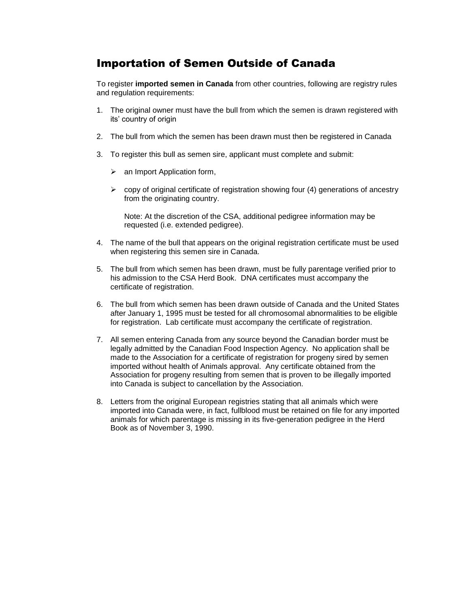## Importation of Semen Outside of Canada

To register **imported semen in Canada** from other countries, following are registry rules and regulation requirements:

- 1. The original owner must have the bull from which the semen is drawn registered with its' country of origin
- 2. The bull from which the semen has been drawn must then be registered in Canada
- 3. To register this bull as semen sire, applicant must complete and submit:
	- $\triangleright$  an Import Application form,
	- $\triangleright$  copy of original certificate of registration showing four (4) generations of ancestry from the originating country.

Note: At the discretion of the CSA, additional pedigree information may be requested (i.e. extended pedigree).

- 4. The name of the bull that appears on the original registration certificate must be used when registering this semen sire in Canada.
- 5. The bull from which semen has been drawn, must be fully parentage verified prior to his admission to the CSA Herd Book. DNA certificates must accompany the certificate of registration.
- 6. The bull from which semen has been drawn outside of Canada and the United States after January 1, 1995 must be tested for all chromosomal abnormalities to be eligible for registration. Lab certificate must accompany the certificate of registration.
- 7. All semen entering Canada from any source beyond the Canadian border must be legally admitted by the Canadian Food Inspection Agency. No application shall be made to the Association for a certificate of registration for progeny sired by semen imported without health of Animals approval. Any certificate obtained from the Association for progeny resulting from semen that is proven to be illegally imported into Canada is subject to cancellation by the Association.
- 8. Letters from the original European registries stating that all animals which were imported into Canada were, in fact, fullblood must be retained on file for any imported animals for which parentage is missing in its five-generation pedigree in the Herd Book as of November 3, 1990.